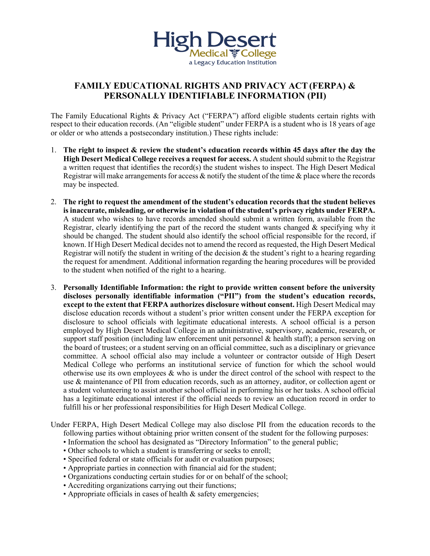

## **FAMILY EDUCATIONAL RIGHTS AND PRIVACY ACT(FERPA) & PERSONALLY IDENTIFIABLE INFORMATION (PII)**

The Family Educational Rights & Privacy Act ("FERPA") afford eligible students certain rights with respect to their education records. (An "eligible student" under FERPA is a student who is 18 years of age or older or who attends a postsecondary institution.) These rights include:

- 1. **The right to inspect & review the student's education records within 45 days after the day the High Desert Medical College receives a request for access.** A student should submit to the Registrar a written request that identifies the record(s) the student wishes to inspect. The High Desert Medical Registrar will make arrangements for access  $\&$  notify the student of the time  $\&$  place where the records may be inspected.
- 2. **The right to request the amendment of the student's education records that the student believes is inaccurate, misleading, or otherwise in violation of the student's privacy rights under FERPA.** A student who wishes to have records amended should submit a written form, available from the Registrar, clearly identifying the part of the record the student wants changed  $\&$  specifying why it should be changed. The student should also identify the school official responsible for the record, if known. If High Desert Medical decides not to amend the record as requested, the High Desert Medical Registrar will notify the student in writing of the decision  $\&$  the student's right to a hearing regarding the request for amendment. Additional information regarding the hearing procedures will be provided to the student when notified of the right to a hearing.
- 3. **Personally Identifiable Information: the right to provide written consent before the university discloses personally identifiable information ("PII") from the student's education records, except to the extent that FERPA authorizes disclosure without consent.** High Desert Medical may disclose education records without a student's prior written consent under the FERPA exception for disclosure to school officials with legitimate educational interests. A school official is a person employed by High Desert Medical College in an administrative, supervisory, academic, research, or support staff position (including law enforcement unit personnel & health staff); a person serving on the board of trustees; or a student serving on an official committee, such as a disciplinary or grievance committee. A school official also may include a volunteer or contractor outside of High Desert Medical College who performs an institutional service of function for which the school would otherwise use its own employees & who is under the direct control of the school with respect to the use & maintenance of PII from education records, such as an attorney, auditor, or collection agent or a student volunteering to assist another school official in performing his or her tasks. A school official has a legitimate educational interest if the official needs to review an education record in order to fulfill his or her professional responsibilities for High Desert Medical College.
- Under FERPA, High Desert Medical College may also disclose PII from the education records to the following parties without obtaining prior written consent of the student for the following purposes:
	- Information the school has designated as "Directory Information" to the general public;
	- Other schools to which a student is transferring or seeks to enroll;
	- Specified federal or state officials for audit or evaluation purposes;
	- Appropriate parties in connection with financial aid for the student;
	- Organizations conducting certain studies for or on behalf of the school;
	- Accrediting organizations carrying out their functions;
	- Appropriate officials in cases of health & safety emergencies;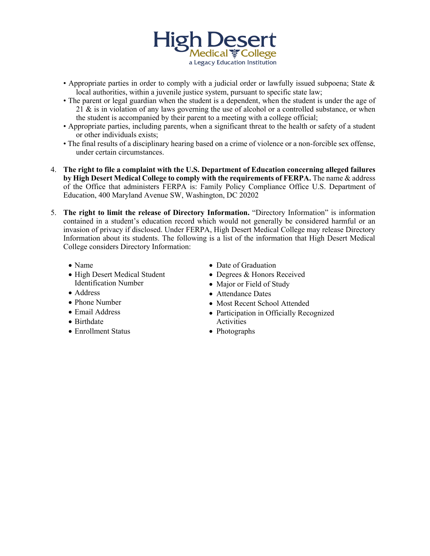

- Appropriate parties in order to comply with a judicial order or lawfully issued subpoena; State & local authorities, within a juvenile justice system, pursuant to specific state law;
- The parent or legal guardian when the student is a dependent, when the student is under the age of  $21 \&$  is in violation of any laws governing the use of alcohol or a controlled substance, or when the student is accompanied by their parent to a meeting with a college official;
- Appropriate parties, including parents, when a significant threat to the health or safety of a student or other individuals exists;
- The final results of a disciplinary hearing based on a crime of violence or a non-forcible sex offense, under certain circumstances.
- 4. **The right to file a complaint with the U.S. Department of Education concerning alleged failures by High Desert Medical College to comply with the requirements of FERPA.** The name & address of the Office that administers FERPA is: Family Policy Compliance Office U.S. Department of Education, 400 Maryland Avenue SW, Washington, DC 20202
- 5. **The right to limit the release of Directory Information.** "Directory Information" is information contained in a student's education record which would not generally be considered harmful or an invasion of privacy if disclosed. Under FERPA, High Desert Medical College may release Directory Information about its students. The following is a list of the information that High Desert Medical College considers Directory Information:
	- Name
	- High Desert Medical Student Identification Number
	- Address
	- Phone Number
	- Email Address
	- Birthdate
	- Enrollment Status
- Date of Graduation
- Degrees & Honors Received
- Major or Field of Study
- Attendance Dates
- Most Recent School Attended
- Participation in Officially Recognized Activities
- Photographs